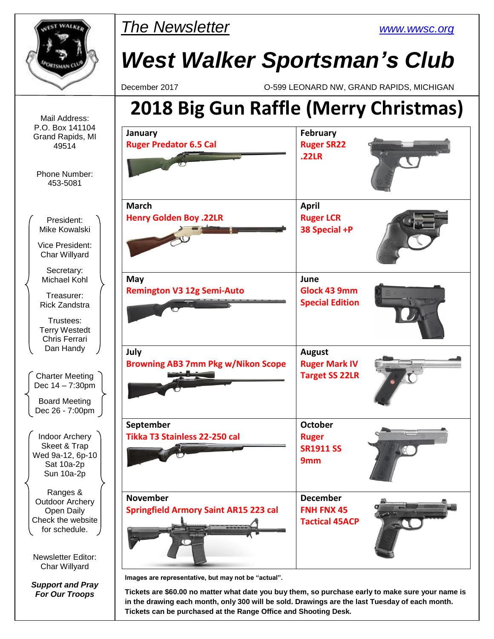

**in the drawing each month, only 300 will be sold. Drawings are the last Tuesday of each month. Tickets can be purchased at the Range Office and Shooting Desk.**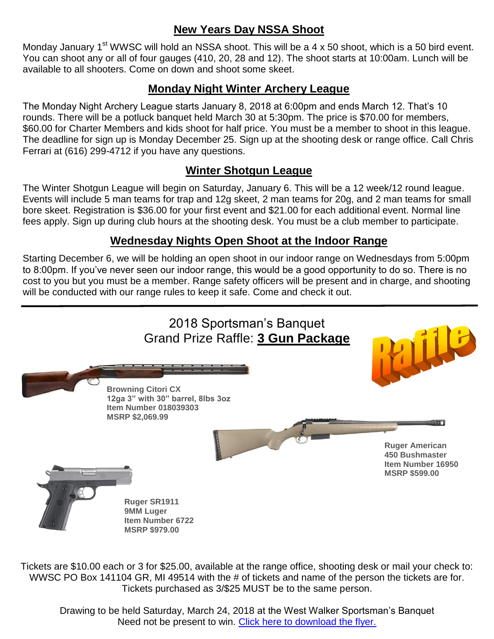## **New Years Day NSSA Shoot**

Monday January 1<sup>st</sup> WWSC will hold an NSSA shoot. This will be a 4 x 50 shoot, which is a 50 bird event. You can shoot any or all of four gauges (410, 20, 28 and 12). The shoot starts at 10:00am. Lunch will be available to all shooters. Come on down and shoot some skeet.

#### **Monday Night Winter Archery League**

The Monday Night Archery League starts January 8, 2018 at 6:00pm and ends March 12. That's 10 rounds. There will be a potluck banquet held March 30 at 5:30pm. The price is \$70.00 for members, \$60.00 for Charter Members and kids shoot for half price. You must be a member to shoot in this league. The deadline for sign up is Monday December 25. Sign up at the shooting desk or range office. Call Chris Ferrari at (616) 299-4712 if you have any questions.

#### **Winter Shotgun League**

The Winter Shotgun League will begin on Saturday, January 6. This will be a 12 week/12 round league. Events will include 5 man teams for trap and 12g skeet, 2 man teams for 20g, and 2 man teams for small bore skeet. Registration is \$36.00 for your first event and \$21.00 for each additional event. Normal line fees apply. Sign up during club hours at the shooting desk. You must be a club member to participate.

#### **Wednesday Nights Open Shoot at the Indoor Range**

Starting December 6, we will be holding an open shoot in our indoor range on Wednesdays from 5:00pm to 8:00pm. If you've never seen our indoor range, this would be a good opportunity to do so. There is no cost to you but you must be a member. Range safety officers will be present and in charge, and shooting will be conducted with our range rules to keep it safe. Come and check it out.



Tickets are \$10.00 each or 3 for \$25.00, available at the range office, shooting desk or mail your check to: WWSC PO Box 141104 GR, MI 49514 with the # of tickets and name of the person the tickets are for. Tickets purchased as 3/\$25 MUST be to the same person.

Drawing to be held Saturday, March 24, 2018 at the West Walker Sportsman's Banquet Need not be present to win. [Click here to download the flyer.](http://www.wwsc.org/img/archives/2018/2018.SBRaffleFlyer.pdf)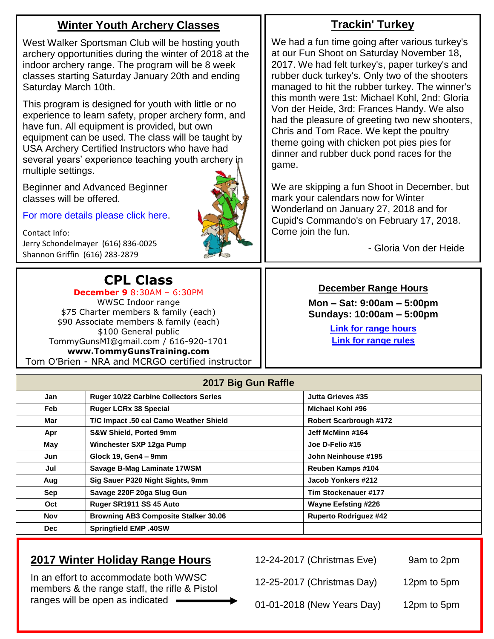## **Winter Youth Archery Classes**

West Walker Sportsman Club will be hosting youth archery opportunities during the winter of 2018 at the indoor archery range. The program will be 8 week classes starting Saturday January 20th and ending Saturday March 10th.

This program is designed for youth with little or no experience to learn safety, proper archery form, and have fun. All equipment is provided, but own equipment can be used. The class will be taught by USA Archery Certified Instructors who have had several years' experience teaching youth archery in multiple settings.

Beginner and Advanced Beginner classes will be offered.

[For more details please click here.](http://www.wwsc.org/img/archives/2018/2018YouthArcheryLessons.pdf)

Contact Info: Jerry Schondelmayer (616) 836-0025 Shannon Griffin (616) 283-2879

# **CPL Class**

**December 9** 8:30AM – 6:30PM WWSC Indoor range \$75 Charter members & family (each) \$90 Associate members & family (each) \$100 General public TommyGunsMI@gmail.com / 616-920-1701 **www.TommyGunsTraining.com** Tom O'Brien - NRA and MCRGO certified instructor

### **Trackin' Turkey**

We had a fun time going after various turkey's at our Fun Shoot on Saturday November 18, 2017. We had felt turkey's, paper turkey's and rubber duck turkey's. Only two of the shooters managed to hit the rubber turkey. The winner's this month were 1st: Michael Kohl, 2nd: Gloria Von der Heide, 3rd: Frances Handy. We also had the pleasure of greeting two new shooters, Chris and Tom Race. We kept the poultry theme going with chicken pot pies pies for dinner and rubber duck pond races for the game.

We are skipping a fun Shoot in December, but mark your calendars now for Winter Wonderland on January 27, 2018 and for Cupid's Commando's on February 17, 2018. Come join the fun. Ĭ

- Gloria Von der Heide

#### **December Range Hours**

**Mon – Sat: 9:00am – 5:00pm Sundays: 10:00am – 5:00pm**

> **[Link for range hours](http://www.wwsc.org/range-hours.shtml) [Link for range rules](http://www.wwsc.org/img/ranges/RangeRules.pdf)**

| 2017 Big Gun Raffle |                                              |                               |  |  |  |  |
|---------------------|----------------------------------------------|-------------------------------|--|--|--|--|
| Jan                 | <b>Ruger 10/22 Carbine Collectors Series</b> | Jutta Grieves #35             |  |  |  |  |
| Feb                 | <b>Ruger LCRx 38 Special</b>                 | Michael Kohl #96              |  |  |  |  |
| Mar                 | T/C Impact .50 cal Camo Weather Shield       | <b>Robert Scarbrough #172</b> |  |  |  |  |
| Apr                 | <b>S&amp;W Shield, Ported 9mm</b>            | Jeff McMinn #164              |  |  |  |  |
| May                 | Winchester SXP 12ga Pump                     | Joe D-Felio #15               |  |  |  |  |
| Jun                 | Glock 19, Gen4 - 9mm                         | John Neinhouse #195           |  |  |  |  |
| Jul                 | Savage B-Mag Laminate 17WSM                  | Reuben Kamps #104             |  |  |  |  |
| Aug                 | Sig Sauer P320 Night Sights, 9mm             | Jacob Yonkers #212            |  |  |  |  |
| Sep                 | Savage 220F 20ga Slug Gun                    | Tim Stockenauer #177          |  |  |  |  |
| Oct                 | Ruger SR1911 SS 45 Auto                      | <b>Wayne Eefsting #226</b>    |  |  |  |  |
| Nov                 | <b>Browning AB3 Composite Stalker 30.06</b>  | <b>Ruperto Rodriguez #42</b>  |  |  |  |  |
| <b>Dec</b>          | <b>Springfield EMP .40SW</b>                 |                               |  |  |  |  |

## **2017 Winter Holiday Range Hours**

In an effort to accommodate both WWSC members & the range staff, the rifle & Pistol ranges will be open as indicated

12-24-2017 (Christmas Eve) 9am to 2pm

12-25-2017 (Christmas Day) 12pm to 5pm

01-01-2018 (New Years Day) 12pm to 5pm